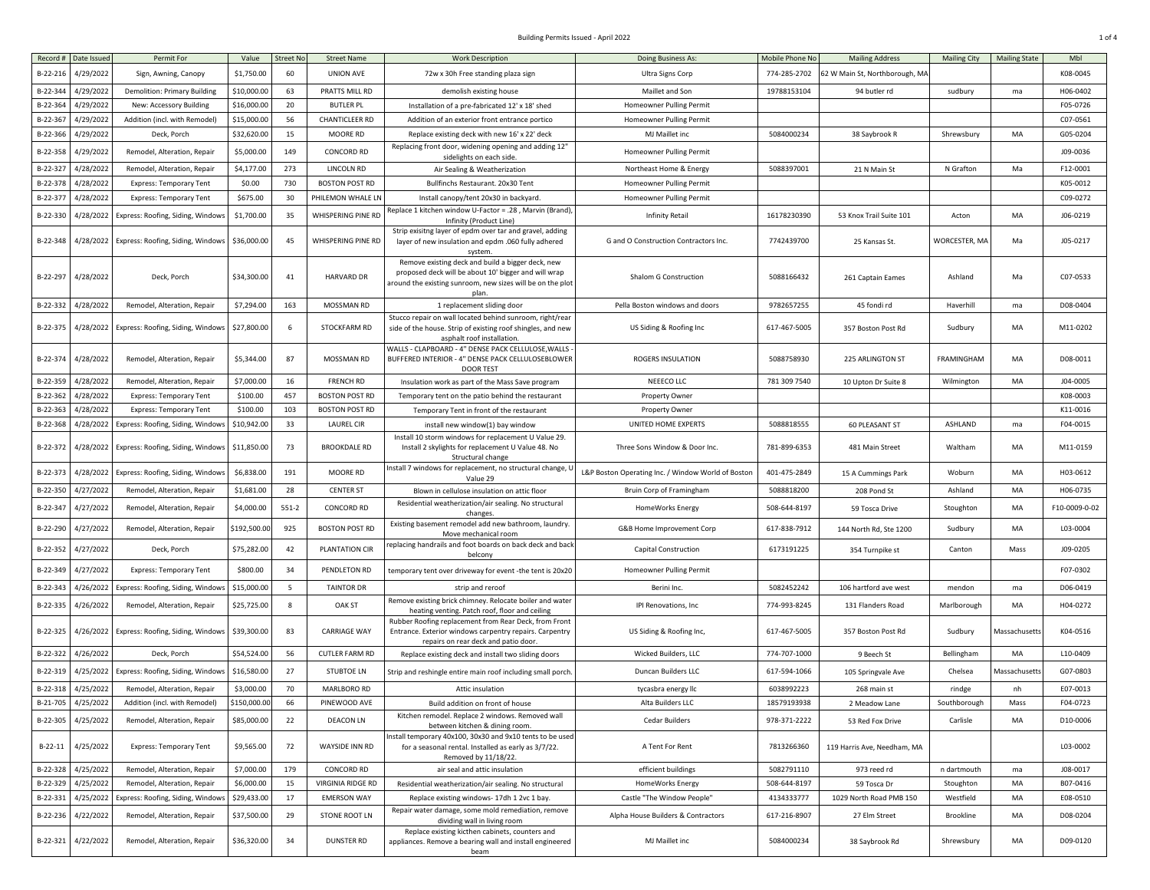## Building Permits Issued - April 2022 1 of 4

| Record #   | Date Issued        | Permit For                          | Value        | <b>Street No</b> | <b>Street Name</b>    | <b>Work Description</b>                                                                                                                                                          | Doing Business As:                                 | Mobile Phone No | <b>Mailing Address</b>         | <b>Mailing City</b> | <b>Mailing State</b> | Mbl           |
|------------|--------------------|-------------------------------------|--------------|------------------|-----------------------|----------------------------------------------------------------------------------------------------------------------------------------------------------------------------------|----------------------------------------------------|-----------------|--------------------------------|---------------------|----------------------|---------------|
| $B-22-216$ | 4/29/2022          | Sign, Awning, Canopy                | \$1,750.00   | 60               | UNION AVE             | 72w x 30h Free standing plaza sign                                                                                                                                               | Ultra Signs Corp                                   | 774-285-2702    | 62 W Main St, Northborough, MA |                     |                      | K08-0045      |
| B-22-344   | 4/29/2022          | <b>Demolition: Primary Building</b> | \$10,000.00  | 63               | PRATTS MILL RD        | demolish existing house                                                                                                                                                          | Maillet and Son                                    | 19788153104     | 94 butler rd                   | sudbury             | ma                   | H06-0402      |
| B-22-364   | 4/29/2022          | New: Accessory Building             | \$16,000.00  | 20               | <b>BUTLER PL</b>      | Installation of a pre-fabricated 12' x 18' shed                                                                                                                                  | Homeowner Pulling Permit                           |                 |                                |                     |                      | F05-0726      |
| $B-22-36$  | 4/29/2022          | Addition (incl. with Remodel)       | \$15,000.00  | 56               | CHANTICLEER RD        | Addition of an exterior front entrance portico                                                                                                                                   | Homeowner Pulling Permit                           |                 |                                |                     |                      | C07-0561      |
| B-22-366   | 4/29/2022          | Deck, Porch                         | \$32,620.00  | 15               | MOORE RD              | Replace existing deck with new 16' x 22' deck                                                                                                                                    | MJ Maillet inc                                     | 5084000234      | 38 Saybrook R                  | Shrewsbury          | MA                   | G05-0204      |
| B-22-358   | 4/29/2022          | Remodel, Alteration, Repair         | \$5,000.00   | 149              | CONCORD RD            | Replacing front door, widening opening and adding 12"<br>sidelights on each side.                                                                                                | Homeowner Pulling Permit                           |                 |                                |                     |                      | J09-0036      |
| B-22-327   | 4/28/2022          | Remodel, Alteration, Repair         | \$4,177.00   | 273              | LINCOLN RD            | Air Sealing & Weatherization                                                                                                                                                     | Northeast Home & Energy                            | 5088397001      | 21 N Main St                   | N Grafton           | Ma                   | F12-0001      |
| B-22-37    | 4/28/2022          | <b>Express: Temporary Tent</b>      | \$0.00       | 730              | <b>BOSTON POST RD</b> | Bullfinchs Restaurant. 20x30 Tent                                                                                                                                                | Homeowner Pulling Permit                           |                 |                                |                     |                      | K05-0012      |
| $B-22-37$  | 4/28/2022          | <b>Express: Temporary Tent</b>      | \$675.00     | 30               | PHILEMON WHALE LN     | Install canopy/tent 20x30 in backyard.                                                                                                                                           | Homeowner Pulling Permit                           |                 |                                |                     |                      | C09-0272      |
| B-22-330   | 4/28/2022          | Express: Roofing, Siding, Windows   | \$1,700.00   | 35               | WHISPERING PINE RD    | Replace 1 kitchen window U-Factor = .28, Marvin (Brand),<br>Infinity (Product Line)                                                                                              | <b>Infinity Retail</b>                             | 16178230390     | 53 Knox Trail Suite 101        | Acton               | MA                   | J06-0219      |
| B-22-348   | 4/28/2022          | Express: Roofing, Siding, Windows   | \$36,000.00  | 45               | WHISPERING PINE RD    | Strip exisitng layer of epdm over tar and gravel, adding<br>layer of new insulation and epdm .060 fully adhered<br>system.                                                       | G and O Construction Contractors Inc               | 7742439700      | 25 Kansas St.                  | WORCESTER, MA       | Ma                   | J05-0217      |
| B-22-297   | 4/28/2022          | Deck, Porch                         | \$34,300.00  | 41               | <b>HARVARD DR</b>     | Remove existing deck and build a bigger deck, new<br>proposed deck will be about 10' bigger and will wrap<br>around the existing sunroom, new sizes will be on the plot<br>plan. | Shalom G Construction                              | 5088166432      | 261 Captain Eames              | Ashland             | Ma                   | C07-0533      |
| B-22-332   | 4/28/2022          | Remodel, Alteration, Repair         | \$7,294.00   | 163              | MOSSMAN RD            | 1 replacement sliding door                                                                                                                                                       | Pella Boston windows and doors                     | 9782657255      | 45 fondi rd                    | Haverhill           | ma                   | D08-0404      |
| B-22-375   | 4/28/2022          | Express: Roofing, Siding, Windows   | \$27,800.00  | 6                | STOCKFARM RD          | Stucco repair on wall located behind sunroom, right/rear<br>side of the house. Strip of existing roof shingles, and new<br>asphalt roof installation.                            | US Siding & Roofing Inc                            | 617-467-5005    | 357 Boston Post Rd             | Sudbury             | MA                   | M11-0202      |
| B-22-374   | 4/28/2022          | Remodel, Alteration, Repair         | \$5,344.00   | 87               | MOSSMAN RD            | WALLS - CLAPBOARD - 4" DENSE PACK CELLULOSE, WALLS<br>BUFFERED INTERIOR - 4" DENSE PACK CELLULOSEBLOWER<br><b>DOOR TEST</b>                                                      | ROGERS INSULATION                                  | 5088758930      | 225 ARLINGTON ST               | FRAMINGHAM          | MA                   | D08-0011      |
| B-22-359   | 4/28/2022          | Remodel, Alteration, Repair         | \$7,000.00   | 16               | <b>FRENCH RD</b>      | Insulation work as part of the Mass Save program                                                                                                                                 | NEEECO LLC                                         | 781 309 7540    | 10 Upton Dr Suite 8            | Wilmington          | MA                   | J04-0005      |
| B-22-362   | 4/28/2022          | <b>Express: Temporary Tent</b>      | \$100.00     | 457              | <b>BOSTON POST RD</b> | Temporary tent on the patio behind the restaurant                                                                                                                                | Property Owner                                     |                 |                                |                     |                      | K08-0003      |
| B-22-363   | 4/28/2022          | <b>Express: Temporary Tent</b>      | \$100.00     | 103              | <b>BOSTON POST RD</b> | Temporary Tent in front of the restaurant                                                                                                                                        | Property Owner                                     |                 |                                |                     |                      | K11-0016      |
| B-22-368   | 4/28/2022          | Express: Roofing, Siding, Window:   | \$10,942.00  | 33               | <b>LAUREL CIR</b>     | install new window(1) bay window                                                                                                                                                 | UNITED HOME EXPERTS                                | 5088818555      | <b>60 PLEASANT ST</b>          | ASHLAND             | ma                   | F04-0015      |
| B-22-372   | 4/28/2022          | Express: Roofing, Siding, Windows   | \$11,850.00  | 73               | <b>BROOKDALE RD</b>   | Install 10 storm windows for replacement U Value 29.<br>Install 2 skylights for replacement U Value 48. No<br>Structural change                                                  | Three Sons Window & Door Inc.                      | 781-899-6353    | 481 Main Street                | Waltham             | MA                   | M11-0159      |
| B-22-373   | 4/28/2022          | Express: Roofing, Siding, Window:   | \$6,838.00   | 191              | MOORE RD              | Install 7 windows for replacement, no structural change,<br>Value 29                                                                                                             | L&P Boston Operating Inc. / Window World of Boston | 401-475-2849    | 15 A Cummings Park             | Woburn              | MA                   | H03-0612      |
| B-22-350   | 4/27/2022          | Remodel, Alteration, Repair         | \$1,681.00   | 28               | <b>CENTER ST</b>      | Blown in cellulose insulation on attic floor                                                                                                                                     | Bruin Corp of Framingham                           | 5088818200      | 208 Pond St                    | Ashland             | MA                   | H06-0735      |
| B-22-347   | 4/27/2022          | Remodel, Alteration, Repair         | \$4,000.00   | $551-2$          | <b>CONCORD RD</b>     | Residential weatherization/air sealing. No structural<br>changes                                                                                                                 | HomeWorks Energy                                   | 508-644-8197    | 59 Tosca Drive                 | Stoughton           | MA                   | F10-0009-0-02 |
| B-22-290   | 4/27/2022          | Remodel, Alteration, Repair         | \$192,500.00 | 925              | <b>BOSTON POST RD</b> | Existing basement remodel add new bathroom, laundry.<br>Move mechanical room                                                                                                     | G&B Home Improvement Corp                          | 617-838-7912    | 144 North Rd, Ste 1200         | Sudbury             | MA                   | L03-0004      |
| B-22-352   | 4/27/2022          | Deck, Porch                         | \$75,282.00  | 42               | PLANTATION CIR        | replacing handrails and foot boards on back deck and back<br>belcony                                                                                                             | Capital Construction                               | 6173191225      | 354 Turnpike st                | Canton              | Mass                 | J09-0205      |
| B-22-349   | 4/27/2022          | <b>Express: Temporary Tent</b>      | \$800.00     | 34               | PENDLETON RD          | temporary tent over driveway for event -the tent is 20x20                                                                                                                        | Homeowner Pulling Permit                           |                 |                                |                     |                      | F07-0302      |
| B-22-343   | 4/26/2022          | Express: Roofing, Siding, Window    | \$15,000.00  | - 5              | <b>TAINTOR DR</b>     | strip and reroof                                                                                                                                                                 | Berini Inc.                                        | 5082452242      | 106 hartford ave west          | mendon              | ma                   | D06-0419      |
| B-22-335   | 4/26/2022          | Remodel, Alteration, Repair         | \$25,725.00  | 8                | OAK ST                | Remove existing brick chimney. Relocate boiler and water<br>heating venting. Patch roof, floor and ceiling                                                                       | IPI Renovations, Inc.                              | 774-993-8245    | 131 Flanders Road              | Marlborough         | MA                   | H04-0272      |
| B-22-325   | 4/26/2022          | Express: Roofing, Siding, Windows   | \$39,300.00  | 83               | <b>CARRIAGE WAY</b>   | Rubber Roofing replacement from Rear Deck, from Front<br>Entrance. Exterior windows carpentry repairs. Carpentry<br>repairs on rear deck and patio door.                         | US Siding & Roofing Inc,                           | 617-467-5005    | 357 Boston Post Rd             | Sudbury             | Massachusett:        | K04-0516      |
| B-22-322   | 4/26/2022          | Deck, Porch                         | \$54,524.0   | 56               | <b>CUTLER FARM RD</b> | Replace existing deck and install two sliding doors                                                                                                                              | Wicked Builders, LLC                               | 774-707-1000    | 9 Beech St                     | Bellingham          | MA                   | L10-0409      |
| B-22-319   | 4/25/2022          | Express: Roofing, Siding, Window    | \$16,580.00  | 27               | <b>STUBTOE LN</b>     | Strip and reshingle entire main roof including small porch.                                                                                                                      | Duncan Builders LLC                                | 617-594-1066    | 105 Springvale Ave             | Chelsea             | Massachusett         | G07-0803      |
| B-22-318   | 4/25/2022          | Remodel, Alteration, Repair         | \$3,000.00   | 70               | <b>MARLBORO RD</b>    | Attic insulation                                                                                                                                                                 | tycasbra energy llc                                | 6038992223      | 268 main st                    | rindge              | nh                   | E07-0013      |
|            | B-21-705 4/25/2022 | Addition (incl. with Remodel)       | \$150,000.00 | 66               | PINEWOOD AVE          | Build addition on front of house                                                                                                                                                 | Alta Builders LLC                                  | 18579193938     | 2 Meadow Lane                  | Southborough        | Mass                 | F04-0723      |
| B-22-305   | 4/25/2022          | Remodel, Alteration, Repair         | \$85,000.00  | 22               | <b>DEACON LN</b>      | Kitchen remodel. Replace 2 windows. Removed wall<br>between kitchen & dining room.                                                                                               | Cedar Builders                                     | 978-371-2222    | 53 Red Fox Drive               | Carlisle            | MA                   | D10-0006      |
| B-22-11    | 4/25/2022          | <b>Express: Temporary Tent</b>      | \$9,565.00   | 72               | WAYSIDE INN RD        | nstall temporary 40x100, 30x30 and 9x10 tents to be used<br>for a seasonal rental. Installed as early as 3/7/22.<br>Removed by 11/18/22.                                         | A Tent For Rent                                    | 7813266360      | 119 Harris Ave, Needham, MA    |                     |                      | L03-0002      |
| B-22-328   | 4/25/2022          | Remodel, Alteration, Repair         | \$7,000.00   | 179              | CONCORD RD            | air seal and attic insulation                                                                                                                                                    | efficient buildings                                | 5082791110      | 973 reed rd                    | n dartmouth         | ma                   | J08-0017      |
| B-22-329   | 4/25/2022          | Remodel, Alteration, Repair         | \$6,000.00   | 15               | VIRGINIA RIDGE RD     | Residential weatherization/air sealing. No structural                                                                                                                            | HomeWorks Energy                                   | 508-644-8197    | 59 Tosca Dr                    | Stoughton           | MA                   | B07-0416      |
| B-22-331   | 4/25/2022          | Express: Roofing, Siding, Window    | \$29,433.00  | 17               | <b>EMERSON WAY</b>    | Replace existing windows-17dh 1 2vc 1 bay.                                                                                                                                       | Castle "The Window People"                         | 4134333777      | 1029 North Road PMB 150        | Westfield           | MA                   | E08-0510      |
| B-22-236   | 4/22/2022          | Remodel, Alteration, Repair         | \$37,500.00  | 29               | STONE ROOT LN         | Repair water damage, some mold remediation, remove<br>dividing wall in living room                                                                                               | Alpha House Builders & Contractors                 | 617-216-8907    | 27 Elm Street                  | Brookline           | MA                   | D08-0204      |
| B-22-321   | 4/22/2022          | Remodel, Alteration, Repair         | \$36,320.00  | 34               | <b>DUNSTER RD</b>     | Replace existing kicthen cabinets, counters and<br>appliances. Remove a bearing wall and install engineered<br>beam                                                              | MJ Maillet inc                                     | 5084000234      | 38 Saybrook Rd                 | Shrewsbury          | MA                   | D09-0120      |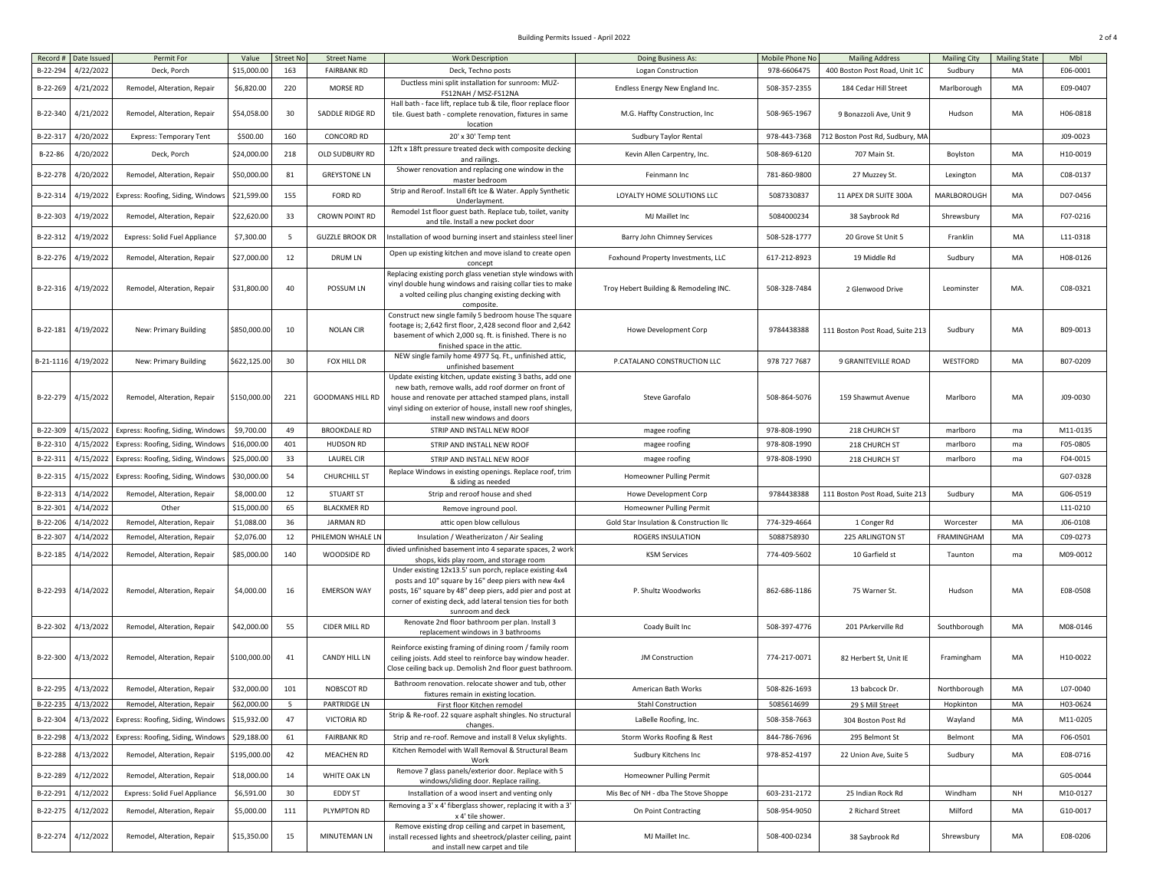## Building Permits Issued - April 2022 2 of 4

| Record #  | Date Issued        | Permit For                        | Value        | <b>Street No</b> | <b>Street Name</b>      | <b>Work Description</b>                                                                                                                                                                                                                                                     | Doing Business As:                      | Mobile Phone No | <b>Mailing Address</b>          | <b>Mailing City</b> | <b>Mailing State</b> | Mbl      |
|-----------|--------------------|-----------------------------------|--------------|------------------|-------------------------|-----------------------------------------------------------------------------------------------------------------------------------------------------------------------------------------------------------------------------------------------------------------------------|-----------------------------------------|-----------------|---------------------------------|---------------------|----------------------|----------|
| B-22-294  | 4/22/2022          | Deck, Porch                       | \$15,000.00  | 163              | <b>FAIRBANK RD</b>      | Deck, Techno posts                                                                                                                                                                                                                                                          | Logan Construction                      | 978-6606475     | 400 Boston Post Road, Unit 1C   | Sudbury             | MA                   | E06-0001 |
| B-22-269  | 4/21/2022          | Remodel, Alteration, Repair       | \$6,820.00   | 220              | MORSE RD                | Ductless mini split installation for sunroom: MUZ-<br>FS12NAH / MSZ-FS12NA                                                                                                                                                                                                  | Endless Energy New England Inc.         | 508-357-2355    | 184 Cedar Hill Street           | Marlborough         | MA                   | E09-0407 |
| B-22-340  | 4/21/2022          | Remodel, Alteration, Repair       | \$54,058.00  | 30               | SADDLE RIDGE RD         | Hall bath - face lift, replace tub & tile, floor replace floor<br>tile. Guest bath - complete renovation, fixtures in same<br>location                                                                                                                                      | M.G. Haffty Construction, Inc.          | 508-965-1967    | 9 Bonazzoli Ave, Unit 9         | Hudson              | MA                   | H06-0818 |
| B-22-317  | 4/20/2022          | <b>Express: Temporary Tent</b>    | \$500.00     | 160              | CONCORD RD              | 20' x 30' Temp tent                                                                                                                                                                                                                                                         | Sudbury Taylor Rental                   | 978-443-7368    | 712 Boston Post Rd, Sudbury, MA |                     |                      | J09-0023 |
| B-22-86   | 1/20/2022          | Deck, Porch                       | \$24,000.00  | 218              | OLD SUDBURY RD          | 12ft x 18ft pressure treated deck with composite decking                                                                                                                                                                                                                    | Kevin Allen Carpentry, Inc.             | 508-869-6120    | 707 Main St.                    | Boylston            | MA                   | H10-0019 |
| B-22-278  | 4/20/2022          | Remodel, Alteration, Repair       | \$50,000.00  | 81               | <b>GREYSTONE LN</b>     | and railings.<br>Shower renovation and replacing one window in the<br>master bedroom                                                                                                                                                                                        | Feinmann Inc                            | 781-860-9800    | 27 Muzzey St.                   | Lexington           | MA                   | C08-0137 |
| B-22-314  | 4/19/2022          | Express: Roofing, Siding, Windows | \$21,599.00  | 155              | <b>FORD RD</b>          | Strip and Reroof. Install 6ft Ice & Water. Apply Synthetic<br>Underlayment.                                                                                                                                                                                                 | LOYALTY HOME SOLUTIONS LLC              | 5087330837      | 11 APEX DR SUITE 300A           | MARLBOROUGH         | MA                   | D07-0456 |
| B-22-303  | 4/19/2022          | Remodel, Alteration, Repair       | \$22,620.00  | 33               | <b>CROWN POINT RD</b>   | Remodel 1st floor guest bath. Replace tub, toilet, vanity<br>and tile. Install a new pocket door                                                                                                                                                                            | MJ Maillet Inc                          | 5084000234      | 38 Saybrook Rd                  | Shrewsbury          | MA                   | F07-0216 |
| B-22-312  | 4/19/2022          | Express: Solid Fuel Appliance     | \$7,300.00   | -5               | <b>GUZZLE BROOK DR</b>  | Installation of wood burning insert and stainless steel liner                                                                                                                                                                                                               | Barry John Chimney Services             | 508-528-1777    | 20 Grove St Unit 5              | Franklin            | MA                   | L11-0318 |
| B-22-276  | 4/19/2022          | Remodel, Alteration, Repair       | \$27,000.00  | 12               | <b>DRUM LN</b>          | Open up existing kitchen and move island to create open<br>concept                                                                                                                                                                                                          | Foxhound Property Investments, LLC      | 617-212-8923    | 19 Middle Rd                    | Sudbury             | MA                   | H08-0126 |
| B-22-316  | 4/19/2022          | Remodel, Alteration, Repair       | \$31,800.00  | 40               | POSSUM LN               | Replacing existing porch glass venetian style windows with<br>vinyl double hung windows and raising collar ties to make<br>a volted ceiling plus changing existing decking with<br>composite                                                                                | Troy Hebert Building & Remodeling INC.  | 508-328-7484    | 2 Glenwood Drive                | Leominster          | MA.                  | C08-0321 |
| B-22-181  | 4/19/2022          | New: Primary Building             | \$850,000.00 | 10               | <b>NOLAN CIR</b>        | Construct new single family 5 bedroom house The square<br>footage is; 2,642 first floor, 2,428 second floor and 2,642<br>basement of which 2,000 sq. ft. is finished. There is no<br>finished space in the attic.                                                           | Howe Development Corp                   | 9784438388      | 111 Boston Post Road, Suite 213 | Sudbury             | MA                   | B09-0013 |
| B-21-1116 | 4/19/2022          | New: Primary Building             | \$622,125.00 | 30               | FOX HILL DR             | NEW single family home 4977 Sq. Ft., unfinished attic,<br>unfinished basement                                                                                                                                                                                               | P.CATALANO CONSTRUCTION LLC             | 978 727 7687    | 9 GRANITEVILLE ROAD             | WESTFORD            | MA                   | B07-0209 |
| B-22-279  | 4/15/2022          | Remodel, Alteration, Repair       | \$150,000.00 | 221              | <b>GOODMANS HILL RD</b> | Update existing kitchen, update existing 3 baths, add one<br>new bath, remove walls, add roof dormer on front of<br>house and renovate per attached stamped plans, install<br>vinyl siding on exterior of house, install new roof shingles<br>install new windows and doors | Steve Garofalo                          | 508-864-5076    | 159 Shawmut Avenue              | Marlboro            | MA                   | J09-0030 |
| B-22-309  | 4/15/2022          | Express: Roofing, Siding, Window  | \$9,700.00   | 49               | <b>BROOKDALE RD</b>     | STRIP AND INSTALL NEW ROOF                                                                                                                                                                                                                                                  | magee roofing                           | 978-808-1990    | 218 CHURCH ST                   | marlboro            | ma                   | M11-0135 |
| B-22-310  | 4/15/2022          | Express: Roofing, Siding, Window: | \$16,000.00  | 401              | <b>HUDSON RD</b>        | STRIP AND INSTALL NEW ROOF                                                                                                                                                                                                                                                  | magee roofing                           | 978-808-1990    | 218 CHURCH ST                   | marlboro            | ma                   | F05-0805 |
| B-22-311  | 4/15/2022          | Express: Roofing, Siding, Windows | \$25,000.00  | 33               | LAUREL CIR              | STRIP AND INSTALL NEW ROOF                                                                                                                                                                                                                                                  | magee roofing                           | 978-808-1990    | 218 CHURCH ST                   | marlboro            | ma                   | F04-0015 |
| B-22-315  | 4/15/2022          | Express: Roofing, Siding, Windows | \$30,000.00  | 54               | <b>CHURCHILL ST</b>     | Replace Windows in existing openings. Replace roof, trim<br>& siding as needed                                                                                                                                                                                              | Homeowner Pulling Permit                |                 |                                 |                     |                      | G07-0328 |
| B-22-313  | 4/14/2022          | Remodel, Alteration, Repair       | \$8,000.00   | 12               | <b>STUART ST</b>        | Strip and reroof house and shed                                                                                                                                                                                                                                             | Howe Development Corp                   | 9784438388      | 111 Boston Post Road, Suite 213 | Sudbury             | MA                   | G06-0519 |
| B-22-301  | 4/14/2022          | Other                             | \$15,000.00  | 65               | <b>BLACKMER RD</b>      | Remove inground pool.                                                                                                                                                                                                                                                       | Homeowner Pulling Permit                |                 |                                 |                     |                      | L11-0210 |
| B-22-20   | 4/14/2022          | Remodel, Alteration, Repair       | \$1,088.00   | 36               | <b>JARMAN RD</b>        | attic open blow cellulous                                                                                                                                                                                                                                                   | Gold Star Insulation & Construction IIc | 774-329-4664    | 1 Conger Rd                     | Worcester           | MA                   | J06-0108 |
| B-22-307  | 4/14/2022          | Remodel, Alteration, Repair       | \$2,076.00   | 12               | PHILEMON WHALE LN       | Insulation / Weatherizaton / Air Sealing                                                                                                                                                                                                                                    | ROGERS INSULATION                       | 5088758930      | 225 ARLINGTON ST                | <b>FRAMINGHAM</b>   | MA                   | C09-0273 |
| B-22-185  | 4/14/2022          | Remodel, Alteration, Repair       | \$85,000.00  | 140              | WOODSIDE RD             | divied unfinished basement into 4 separate spaces, 2 work<br>shops, kids play room, and storage room                                                                                                                                                                        | <b>KSM Services</b>                     | 774-409-5602    | 10 Garfield st                  | Taunton             | ma                   | M09-0012 |
| B-22-293  | 4/14/2022          | Remodel, Alteration, Repair       | \$4,000.00   | 16               | <b>EMERSON WAY</b>      | Under existing 12x13.5' sun porch, replace existing 4x4<br>posts and 10" square by 16" deep piers with new 4x4<br>posts, 16" square by 48" deep piers, add pier and post at<br>corner of existing deck, add lateral tension ties for both<br>sunroom and deck               | P. Shultz Woodworks                     | 862-686-1186    | 75 Warner St.                   | Hudson              | MA                   | E08-0508 |
| B-22-302  | 4/13/2022          | Remodel, Alteration, Repair       | \$42,000.00  | 55               | CIDER MILL RD           | Renovate 2nd floor bathroom per plan. Install 3<br>replacement windows in 3 bathrooms                                                                                                                                                                                       | Coady Built Inc                         | 508-397-4776    | 201 PArkerville Rd              | Southborough        | MA                   | M08-0146 |
| B-22-300  | 4/13/2022          | Remodel, Alteration, Repair       | \$100,000.00 | 41               | CANDY HILL LN           | Reinforce existing framing of dining room / family room<br>ceiling joists. Add steel to reinforce bay window header.<br>Close ceiling back up. Demolish 2nd floor guest bathroom                                                                                            | JM Construction                         | 774-217-0071    | 82 Herbert St, Unit IE          | Framingham          | MA                   | H10-0022 |
| B-22-295  | 4/13/2022          | Remodel, Alteration, Repair       | \$32,000.00  | 101              | NOBSCOT RD              | Bathroom renovation. relocate shower and tub, other<br>fixtures remain in existing location.                                                                                                                                                                                | American Bath Works                     | 508-826-1693    | 13 babcock Dr.                  | Northborough        | MA                   | L07-0040 |
|           | B-22-235 4/13/2022 | Remodel, Alteration, Repair       | \$62,000.00  | 5                | PARTRIDGE LN            | First floor Kitchen remodel                                                                                                                                                                                                                                                 | Stahl Construction                      | 5085614699      | 29 S Mill Street                | Hopkinton           | MA                   | H03-0624 |
| B-22-304  | 4/13/2022          | Express: Roofing, Siding, Windows | \$15,932.00  | 47               | VICTORIA RD             | Strip & Re-roof. 22 square asphalt shingles. No structural<br>changes.                                                                                                                                                                                                      | LaBelle Roofing, Inc.                   | 508-358-7663    | 304 Boston Post Rd              | Wayland             | MA                   | M11-0205 |
| B-22-298  | 4/13/2022          | Express: Roofing, Siding, Windows | \$29,188.00  | 61               | <b>FAIRBANK RD</b>      | Strip and re-roof. Remove and install 8 Velux skylights.                                                                                                                                                                                                                    | Storm Works Roofing & Rest              | 844-786-7696    | 295 Belmont St                  | Belmont             | MA                   | F06-0501 |
| B-22-288  | 4/13/2022          | Remodel, Alteration, Repair       | \$195,000.00 | 42               | MEACHEN RD              | Kitchen Remodel with Wall Removal & Structural Beam<br>Work                                                                                                                                                                                                                 | Sudbury Kitchens Inc                    | 978-852-4197    | 22 Union Ave, Suite 5           | Sudbury             | MA                   | E08-0716 |
| B-22-289  | 4/12/2022          | Remodel, Alteration, Repair       | \$18,000.00  | 14               | WHITE OAK LN            | Remove 7 glass panels/exterior door. Replace with 5<br>windows/sliding door. Replace railing.                                                                                                                                                                               | Homeowner Pulling Permit                |                 |                                 |                     |                      | G05-0044 |
| B-22-291  | 4/12/202           | Express: Solid Fuel Appliance     | \$6,591.00   | 30               | EDDY ST                 | Installation of a wood insert and venting only                                                                                                                                                                                                                              | Mis Bec of NH - dba The Stove Shoppe    | 603-231-2172    | 25 Indian Rock Rd               | Windham             | <b>NH</b>            | M10-0127 |
| B-22-275  | 4/12/2022          | Remodel, Alteration, Repair       | \$5,000.00   | 111              | PLYMPTON RD             | Removing a 3' x 4' fiberglass shower, replacing it with a 3'<br>x 4' tile shower.                                                                                                                                                                                           | On Point Contracting                    | 508-954-9050    | 2 Richard Street                | Milford             | MA                   | G10-0017 |
| B-22-274  | 4/12/2022          | Remodel, Alteration, Repair       | \$15,350.00  | 15               | MINUTEMAN LN            | Remove existing drop ceiling and carpet in basement,<br>install recessed lights and sheetrock/plaster ceiling, paint<br>and install new carpet and tile                                                                                                                     | MJ Maillet Inc.                         | 508-400-0234    | 38 Saybrook Rd                  | Shrewsbury          | MA                   | E08-0206 |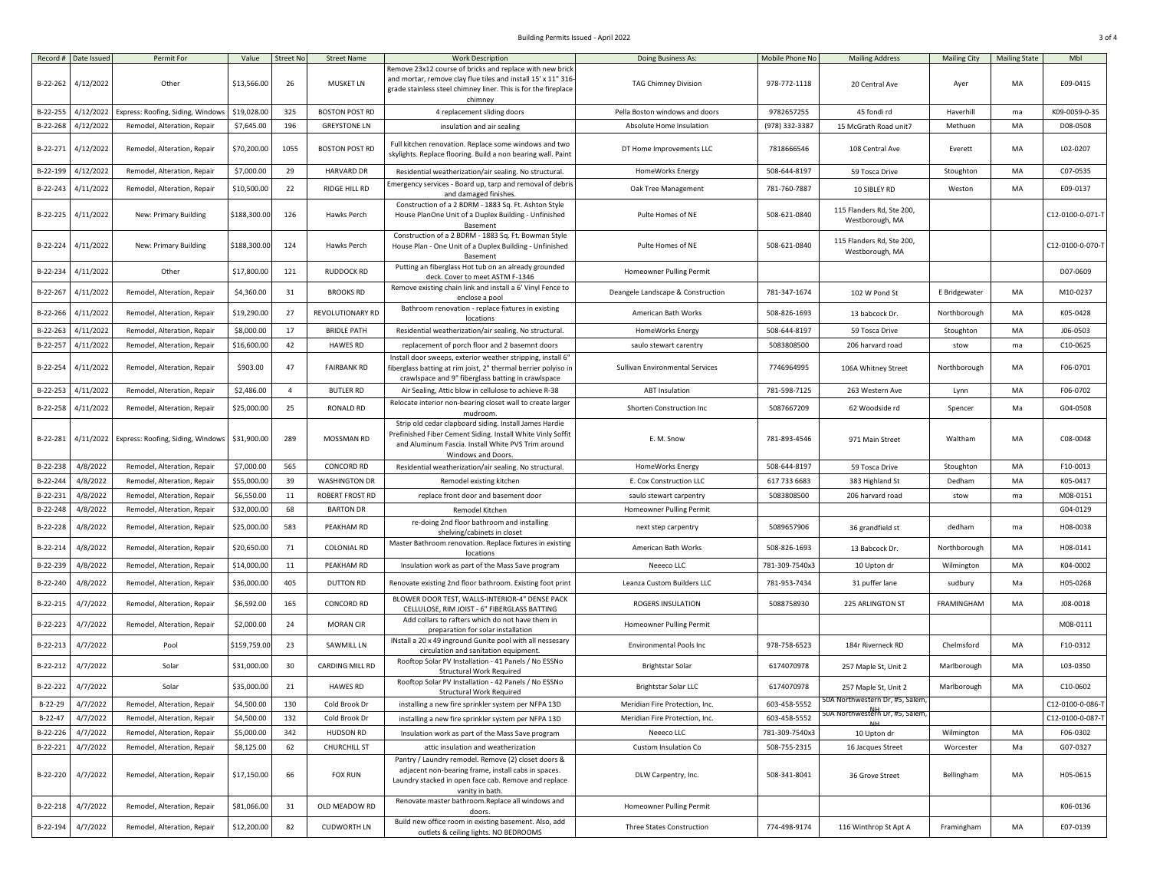## Building Permits Issued - April 2022 3 of 4

| Record #  | Date Issued | Permit For                        | Value        | <b>Street No</b> | <b>Street Name</b>     | <b>Work Description</b>                                                                                                                                                                           | Doing Business As:                | Mobile Phone No | <b>Mailing Address</b>                       | <b>Mailing City</b> | <b>Mailing State</b> | Mbl              |
|-----------|-------------|-----------------------------------|--------------|------------------|------------------------|---------------------------------------------------------------------------------------------------------------------------------------------------------------------------------------------------|-----------------------------------|-----------------|----------------------------------------------|---------------------|----------------------|------------------|
|           |             |                                   |              |                  |                        | Remove 23x12 course of bricks and replace with new brick                                                                                                                                          |                                   |                 |                                              |                     |                      |                  |
| B-22-262  | 4/12/2022   | Other                             | \$13,566.00  | 26               | <b>MUSKET LN</b>       | and mortar, remove clay flue tiles and install 15' x 11" 316-<br>grade stainless steel chimney liner. This is for the fireplace                                                                   | <b>TAG Chimney Division</b>       | 978-772-1118    | 20 Central Ave                               | Ayer                | MA                   | E09-0415         |
| B-22-255  | 4/12/2022   | Express: Roofing, Siding, Windows | \$19,028.00  | 325              | <b>BOSTON POST RD</b>  | chimney<br>4 replacement sliding doors                                                                                                                                                            | Pella Boston windows and doors    | 9782657255      | 45 fondi rd                                  | Haverhill           | ma                   | K09-0059-0-35    |
| B-22-268  | 4/12/2022   | Remodel, Alteration, Repair       | \$7,645.00   | 196              | <b>GREYSTONE LN</b>    | insulation and air sealing                                                                                                                                                                        | Absolute Home Insulation          | (978) 332-3387  | 15 McGrath Road unit7                        | Methuen             | MA                   | D08-0508         |
| B-22-271  | 4/12/2022   | Remodel, Alteration, Repair       | \$70,200.00  | 1055             | <b>BOSTON POST RD</b>  | Full kitchen renovation. Replace some windows and two<br>skylights. Replace flooring. Build a non bearing wall. Paint                                                                             | DT Home Improvements LLC          | 7818666546      | 108 Central Ave                              | Everett             | MA                   | L02-0207         |
| B-22-199  | 4/12/2022   | Remodel, Alteration, Repair       | \$7,000.00   | 29               | <b>HARVARD DR</b>      | Residential weatherization/air sealing. No structural.                                                                                                                                            | HomeWorks Energy                  | 508-644-8197    | 59 Tosca Drive                               | Stoughton           | MA                   | C07-0535         |
|           |             |                                   |              |                  |                        | Emergency services - Board up, tarp and removal of debris                                                                                                                                         |                                   |                 |                                              |                     |                      |                  |
| B-22-243  | 4/11/2022   | Remodel, Alteration, Repair       | \$10,500.00  | 22               | RIDGE HILL RD          | and damaged finishes.                                                                                                                                                                             | Oak Tree Management               | 781-760-7887    | 10 SIBLEY RD                                 | Weston              | MA                   | E09-0137         |
| B-22-225  | 4/11/2022   | New: Primary Building             | \$188,300.00 | 126              | Hawks Perch            | Construction of a 2 BDRM - 1883 Sq. Ft. Ashton Style<br>House PlanOne Unit of a Duplex Building - Unfinished<br>Basement                                                                          | Pulte Homes of NE                 | 508-621-0840    | 115 Flanders Rd, Ste 200,<br>Westborough, MA |                     |                      | C12-0100-0-071-T |
| B-22-224  | 4/11/2022   | New: Primary Building             | \$188,300.00 | 124              | Hawks Perch            | Construction of a 2 BDRM - 1883 Sq. Ft. Bowman Style<br>House Plan - One Unit of a Duplex Building - Unfinished<br>Basement                                                                       | Pulte Homes of NE                 | 508-621-0840    | 115 Flanders Rd, Ste 200,<br>Westborough, MA |                     |                      | C12-0100-0-070-1 |
| B-22-234  | 4/11/2022   | Other                             | \$17,800.00  | 121              | RUDDOCK RD             | Putting an fiberglass Hot tub on an already grounded<br>deck. Cover to meet ASTM F-1346                                                                                                           | Homeowner Pulling Permit          |                 |                                              |                     |                      | D07-0609         |
| B-22-267  | 4/11/2022   | Remodel, Alteration, Repair       | \$4,360.00   | 31               | <b>BROOKS RD</b>       | Remove existing chain link and install a 6' Vinyl Fence to<br>enclose a pool                                                                                                                      | Deangele Landscape & Construction | 781-347-1674    | 102 W Pond St                                | E Bridgewater       | MA                   | M10-0237         |
| B-22-266  | 4/11/2022   | Remodel, Alteration, Repair       | \$19,290.00  | 27               | REVOLUTIONARY RD       | Bathroom renovation - replace fixtures in existing<br>locations                                                                                                                                   | American Bath Works               | 508-826-1693    | 13 babcock Dr.                               | Northborough        | MA                   | K05-0428         |
| B-22-263  | 4/11/2022   | Remodel, Alteration, Repair       | \$8,000.00   | 17               | <b>BRIDLE PATH</b>     | Residential weatherization/air sealing. No structural.                                                                                                                                            | HomeWorks Energy                  | 508-644-8197    | 59 Tosca Drive                               | Stoughton           | MA                   | J06-0503         |
| B-22-257  | 4/11/2022   | Remodel, Alteration, Repair       | \$16,600.00  | 42               | <b>HAWES RD</b>        | replacement of porch floor and 2 basemnt doors                                                                                                                                                    | saulo stewart carentry            | 5083808500      | 206 harvard road                             | stow                | ma                   | C10-0625         |
| B-22-254  | 4/11/2022   | Remodel, Alteration, Repair       | \$903.00     | 47               | <b>FAIRBANK RD</b>     | Install door sweeps, exterior weather stripping, install 6'<br>fiberglass batting at rim joist, 2" thermal berrier polyiso in<br>crawlspace and 9" fiberglass batting in crawlspace               | Sullivan Environmental Services   | 7746964995      | 106A Whitney Street                          | Northborough        | MA                   | F06-0701         |
| B-22-253  | 4/11/2022   | Remodel, Alteration, Repair       | \$2,486.00   | $\overline{4}$   | <b>BUTLER RD</b>       | Air Sealing, Attic blow in cellulose to achieve R-38                                                                                                                                              | <b>ABT</b> Insulation             | 781-598-7125    | 263 Western Ave                              | Lynn                | MA                   | F06-0702         |
| B-22-258  | 4/11/2022   | Remodel, Alteration, Repair       | \$25,000.00  | 25               | RONALD RD              | Relocate interior non-bearing closet wall to create larger<br>mudroom.                                                                                                                            | Shorten Construction Inc          | 5087667209      | 62 Woodside rd                               | Spencer             | Ma                   | G04-0508         |
| B-22-281  | 4/11/2022   | Express: Roofing, Siding, Windows | \$31,900.00  | 289              | MOSSMAN RD             | Strip old cedar clapboard siding. Install James Hardie<br>Prefinished Fiber Cement Siding. Install White Vinly Soffit<br>and Aluminum Fascia. Install White PVS Trim around<br>Windows and Doors. | E. M. Snow                        | 781-893-4546    | 971 Main Street                              | Waltham             | MA                   | C08-0048         |
| B-22-238  | 4/8/2022    | Remodel, Alteration, Repair       | \$7,000.00   | 565              | CONCORD RD             | Residential weatherization/air sealing. No structural.                                                                                                                                            | HomeWorks Energy                  | 508-644-8197    | 59 Tosca Drive                               | Stoughton           | MA                   | F10-0013         |
| B-22-24   | 4/8/2022    | Remodel, Alteration, Repair       | \$55,000.00  | 39               | <b>WASHINGTON DR</b>   | Remodel existing kitchen                                                                                                                                                                          | E. Cox Construction LLC           | 617 733 6683    | 383 Highland St                              | Dedham              | MA                   | K05-0417         |
| B-22-231  | 4/8/2022    | Remodel, Alteration, Repair       | \$6,550.00   | 11               | <b>ROBERT FROST RD</b> | replace front door and basement door                                                                                                                                                              | saulo stewart carpentry           | 5083808500      | 206 harvard road                             | stow                | ma                   | M08-0151         |
| B-22-248  | 4/8/2022    | Remodel, Alteration, Repair       | \$32,000.00  | 68               | <b>BARTON DR</b>       | Remodel Kitchen                                                                                                                                                                                   | Homeowner Pulling Permit          |                 |                                              |                     |                      | G04-0129         |
| B-22-228  | 4/8/2022    | Remodel, Alteration, Repair       | \$25,000.00  | 583              | PEAKHAM RD             | re-doing 2nd floor bathroom and installing<br>shelving/cabinets in closet                                                                                                                         | next step carpentry               | 5089657906      | 36 grandfield st                             | dedham              | ma                   | H08-0038         |
| B-22-214  | 4/8/2022    | Remodel, Alteration, Repair       | \$20,650.00  | 71               | <b>COLONIAL RD</b>     | Master Bathroom renovation. Replace fixtures in existing<br>locations                                                                                                                             | American Bath Works               | 508-826-1693    | 13 Babcock Dr.                               | Northborough        | MA                   | H08-0141         |
| B-22-239  | 4/8/2022    | Remodel, Alteration, Repair       | \$14,000.00  | 11               | PEAKHAM RD             | Insulation work as part of the Mass Save program                                                                                                                                                  | Neeeco LLC                        | 781-309-7540x3  | 10 Upton dr                                  | Wilmington          | MA                   | K04-0002         |
| B-22-240  | 4/8/2022    | Remodel, Alteration, Repair       | \$36,000.00  | 405              | <b>DUTTON RD</b>       | Renovate existing 2nd floor bathroom. Existing foot print                                                                                                                                         | Leanza Custom Builders LLC        | 781-953-7434    | 31 puffer lane                               | sudbury             | Ma                   | H05-0268         |
| B-22-215  | 4/7/2022    | Remodel, Alteration, Repair       | \$6,592.00   | 165              | CONCORD RD             | BLOWER DOOR TEST, WALLS-INTERIOR-4" DENSE PACK                                                                                                                                                    | ROGERS INSULATION                 | 5088758930      | 225 ARLINGTON ST                             | FRAMINGHAM          | MA                   | J08-0018         |
|           |             |                                   |              |                  |                        | CELLULOSE, RIM JOIST - 6" FIBERGLASS BATTING<br>Add collars to rafters which do not have them in                                                                                                  |                                   |                 |                                              |                     |                      |                  |
| B-22-223  | 4/7/2022    | Remodel, Alteration, Repair       | \$2,000.00   | 24               | <b>MORAN CIR</b>       | preparation for solar installation<br>INstall a 20 x 49 inground Gunite pool with all nessesary                                                                                                   | Homeowner Pulling Permit          |                 |                                              |                     |                      | M08-0111         |
| B-22-213  | 4/7/2022    | Pool                              | \$159,759.00 | 23               | SAWMILL LN             | circulation and sanitation equipment.                                                                                                                                                             | <b>Environmental Pools Inc</b>    | 978-758-6523    | 184r Riverneck RD                            | Chelmsford          | MA                   | F10-0312         |
| B-22-212  | 4/7/2022    | Solar                             | \$31,000.00  | 30               | CARDING MILL RD        | Rooftop Solar PV Installation - 41 Panels / No ESSNo<br><b>Structural Work Required</b>                                                                                                           | <b>Brightstar Solar</b>           | 6174070978      | 257 Maple St, Unit 2                         | Marlborough         | MA                   | L03-0350         |
| B-22-222  | 4/7/2022    | Solar                             | \$35,000.00  | 21               | <b>HAWES RD</b>        | Rooftop Solar PV Installation - 42 Panels / No ESSNo<br><b>Structural Work Required</b>                                                                                                           | <b>Brightstar Solar LLC</b>       | 6174070978      | 257 Maple St, Unit 2                         | Marlborough         | MA                   | C10-0602         |
| B-22-29   | 4/7/2022    | Remodel, Alteration, Repair       | \$4,500.00   | 130              | Cold Brook Dr          | installing a new fire sprinkler system per NFPA 13D                                                                                                                                               | Meridian Fire Protection, Inc.    | 603-458-5552    | 50A Northwestern Dr, #5, Salem,              |                     |                      | C12-0100-0-086-7 |
| $B-22-47$ | 4/7/2022    | Remodel, Alteration, Repair       | \$4,500.00   | 132              | Cold Brook Dr          | installing a new fire sprinkler system per NFPA 13D                                                                                                                                               | Meridian Fire Protection, Inc.    | 603-458-5552    | 50A Northwestern Dr, #5, Salem               |                     |                      | C12-0100-0-087-1 |
| B-22-226  | 4/7/2022    | Remodel, Alteration, Repair       | \$5,000.00   | 342              | <b>HUDSON RD</b>       | Insulation work as part of the Mass Save program                                                                                                                                                  | Neeeco LLC                        | 781-309-7540x3  | 10 Upton dr                                  | Wilmington          | MA                   | F06-0302         |
| B-22-221  | 4/7/2022    | Remodel, Alteration, Repair       | \$8,125.00   | 62               | <b>CHURCHILL ST</b>    | attic insulation and weatherization                                                                                                                                                               | Custom Insulation Co              | 508-755-2315    | 16 Jacques Street                            | Worcester           | Ma                   | G07-0327         |
| B-22-220  | 4/7/2022    | Remodel, Alteration, Repair       | \$17,150.00  | 66               | <b>FOX RUN</b>         | Pantry / Laundry remodel. Remove (2) closet doors &<br>adjacent non-bearing frame, install cabs in spaces.<br>Laundry stacked in open face cab. Remove and replace<br>vanity in bath.             | DLW Carpentry, Inc.               | 508-341-8041    | 36 Grove Street                              | Bellingham          | MA                   | H05-0615         |
| B-22-218  | 4/7/2022    | Remodel, Alteration, Repair       | \$81,066.00  | 31               | OLD MEADOW RD          | Renovate master bathroom.Replace all windows and<br>doors.                                                                                                                                        | Homeowner Pulling Permit          |                 |                                              |                     |                      | K06-0136         |
| B-22-194  | 4/7/2022    | Remodel, Alteration, Repair       | \$12,200.00  | 82               | <b>CUDWORTH LN</b>     | Build new office room in existing basement. Also, add<br>outlets & ceiling lights. NO BEDROOMS                                                                                                    | Three States Construction         | 774-498-9174    | 116 Winthrop St Apt A                        | Framingham          | MA                   | E07-0139         |